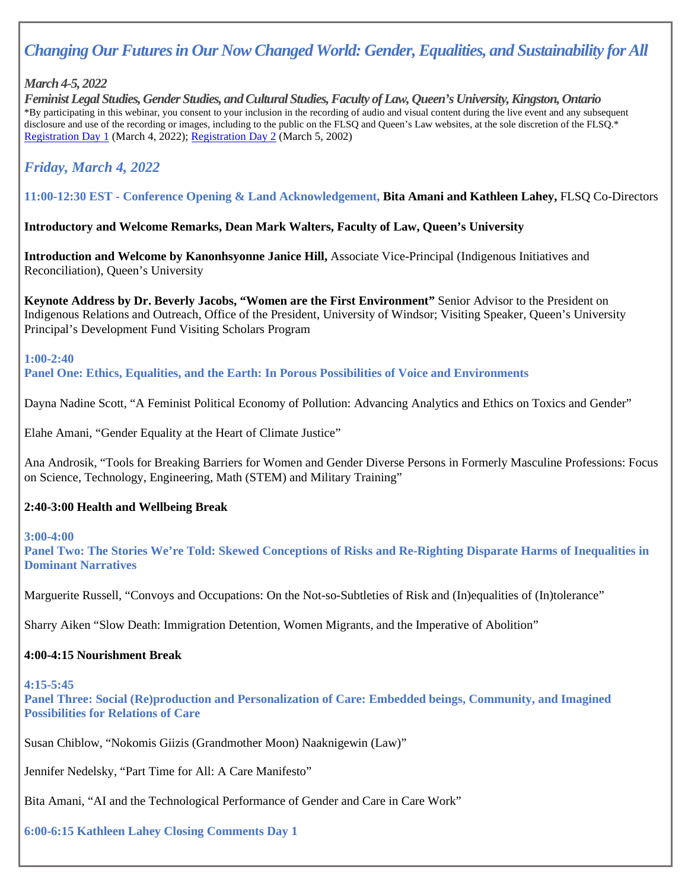# *Changing Our Futuresin Our NowChanged World: Gender,Equalities, and Sustainability for All*

# *March 4-5, 2022*

*FeministLegal Studies, Gender Studies, andCultural Studies,Faculty ofLaw, Queen's University,Kingston,Ontario* \*By participating in this webinar, you consent to your inclusion in the recording of audio and visual content during the live event and any subsequent disclosure and use of the recording or images, including to the public on the FLSQ and Queen's Law websites, at the sole discretion of the FLSQ.\* [Registration Day 1](https://queenslaw.zoom.us/meeting/register/tJMocuuhqT0pGNCStigZrD24EFiil6PCegzg) (March 4, 2022); [Registration Day 2](https://queenslaw.zoom.us/meeting/register/tJAkcuiuqTIsGdbu7x4983wNyF4608JhI8Hx) (March 5, 2002)

# *Friday, March 4, 2022*

**11:00-12:30 EST - Conference Opening & Land Acknowledgement, Bita Amani and Kathleen Lahey,** FLSQ Co-Directors

## **Introductory and Welcome Remarks, Dean Mark Walters, Faculty of Law, Queen's University**

**Introduction and Welcome by Kanonhsyonne Janice Hill,** Associate Vice-Principal (Indigenous Initiatives and Reconciliation), Queen's University

**Keynote Address by Dr. Beverly Jacobs, "Women are the First Environment"** Senior Advisor to the President on Indigenous Relations and Outreach, Office of the President, University of Windsor; Visiting Speaker, Queen's University Principal's Development Fund Visiting Scholars Program

# **1:00-2:40**

**Panel One: Ethics, Equalities, and the Earth: In Porous Possibilities of Voice and Environments**

Dayna Nadine Scott, "A Feminist Political Economy of Pollution: Advancing Analytics and Ethics on Toxics and Gender"

Elahe Amani, "Gender Equality at the Heart of Climate Justice"

Ana Androsik, "Tools for Breaking Barriers for Women and Gender Diverse Persons in Formerly Masculine Professions: Focus on Science, Technology, Engineering, Math (STEM) and Military Training"

## **2:40-3:00 Health and Wellbeing Break**

**3:00-4:00**

**Panel Two: The Stories We're Told: Skewed Conceptions of Risks and Re-Righting Disparate Harms of Inequalities in Dominant Narratives**

Marguerite Russell, "Convoys and Occupations: On the Not-so-Subtleties of Risk and (In)equalities of (In)tolerance"

Sharry Aiken "Slow Death: Immigration Detention, Women Migrants, and the Imperative of Abolition"

## **4:00-4:15 Nourishment Break**

**4:15-5:45** 

**Panel Three: Social (Re)production and Personalization of Care: Embedded beings, Community, and Imagined Possibilities for Relations of Care**

Susan Chiblow, "Nokomis Giizis (Grandmother Moon) Naaknigewin (Law)"

Jennifer Nedelsky, "Part Time for All: A Care Manifesto"

Bita Amani, "AI and the Technological Performance of Gender and Care in Care Work"

# **6:00-6:15 Kathleen Lahey Closing Comments Day 1**